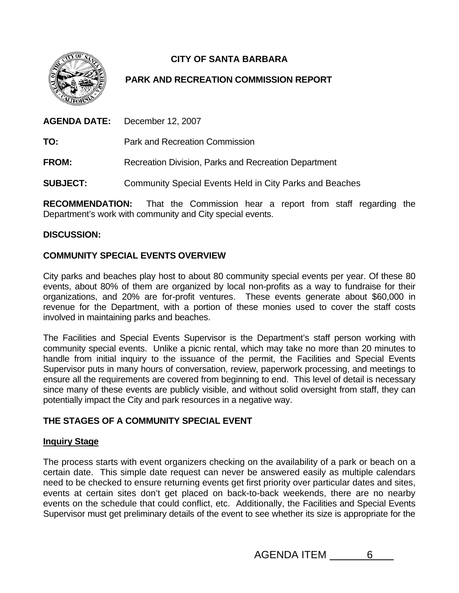

# **CITY OF SANTA BARBARA**

## **PARK AND RECREATION COMMISSION REPORT**

**AGENDA DATE:** December 12, 2007

**TO:** Park and Recreation Commission

**FROM:** Recreation Division, Parks and Recreation Department

**SUBJECT:** Community Special Events Held in City Parks and Beaches

**RECOMMENDATION:** That the Commission hear a report from staff regarding the Department's work with community and City special events.

#### **DISCUSSION:**

### **COMMUNITY SPECIAL EVENTS OVERVIEW**

City parks and beaches play host to about 80 community special events per year. Of these 80 events, about 80% of them are organized by local non-profits as a way to fundraise for their organizations, and 20% are for-profit ventures. These events generate about \$60,000 in revenue for the Department, with a portion of these monies used to cover the staff costs involved in maintaining parks and beaches.

The Facilities and Special Events Supervisor is the Department's staff person working with community special events. Unlike a picnic rental, which may take no more than 20 minutes to handle from initial inquiry to the issuance of the permit, the Facilities and Special Events Supervisor puts in many hours of conversation, review, paperwork processing, and meetings to ensure all the requirements are covered from beginning to end. This level of detail is necessary since many of these events are publicly visible, and without solid oversight from staff, they can potentially impact the City and park resources in a negative way.

## **THE STAGES OF A COMMUNITY SPECIAL EVENT**

#### **Inquiry Stage**

The process starts with event organizers checking on the availability of a park or beach on a certain date. This simple date request can never be answered easily as multiple calendars need to be checked to ensure returning events get first priority over particular dates and sites, events at certain sites don't get placed on back-to-back weekends, there are no nearby events on the schedule that could conflict, etc. Additionally, the Facilities and Special Events Supervisor must get preliminary details of the event to see whether its size is appropriate for the

AGENDA ITEM 6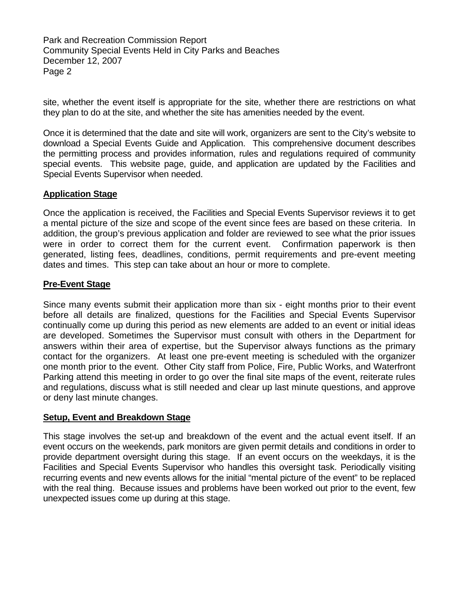Park and Recreation Commission Report Community Special Events Held in City Parks and Beaches December 12, 2007 Page 2

site, whether the event itself is appropriate for the site, whether there are restrictions on what they plan to do at the site, and whether the site has amenities needed by the event.

Once it is determined that the date and site will work, organizers are sent to the City's website to download a Special Events Guide and Application. This comprehensive document describes the permitting process and provides information, rules and regulations required of community special events. This website page, guide, and application are updated by the Facilities and Special Events Supervisor when needed.

#### **Application Stage**

Once the application is received, the Facilities and Special Events Supervisor reviews it to get a mental picture of the size and scope of the event since fees are based on these criteria. In addition, the group's previous application and folder are reviewed to see what the prior issues were in order to correct them for the current event. Confirmation paperwork is then generated, listing fees, deadlines, conditions, permit requirements and pre-event meeting dates and times. This step can take about an hour or more to complete.

#### **Pre-Event Stage**

Since many events submit their application more than six - eight months prior to their event before all details are finalized, questions for the Facilities and Special Events Supervisor continually come up during this period as new elements are added to an event or initial ideas are developed. Sometimes the Supervisor must consult with others in the Department for answers within their area of expertise, but the Supervisor always functions as the primary contact for the organizers. At least one pre-event meeting is scheduled with the organizer one month prior to the event. Other City staff from Police, Fire, Public Works, and Waterfront Parking attend this meeting in order to go over the final site maps of the event, reiterate rules and regulations, discuss what is still needed and clear up last minute questions, and approve or deny last minute changes.

#### **Setup, Event and Breakdown Stage**

This stage involves the set-up and breakdown of the event and the actual event itself. If an event occurs on the weekends, park monitors are given permit details and conditions in order to provide department oversight during this stage. If an event occurs on the weekdays, it is the Facilities and Special Events Supervisor who handles this oversight task. Periodically visiting recurring events and new events allows for the initial "mental picture of the event" to be replaced with the real thing. Because issues and problems have been worked out prior to the event, few unexpected issues come up during at this stage.